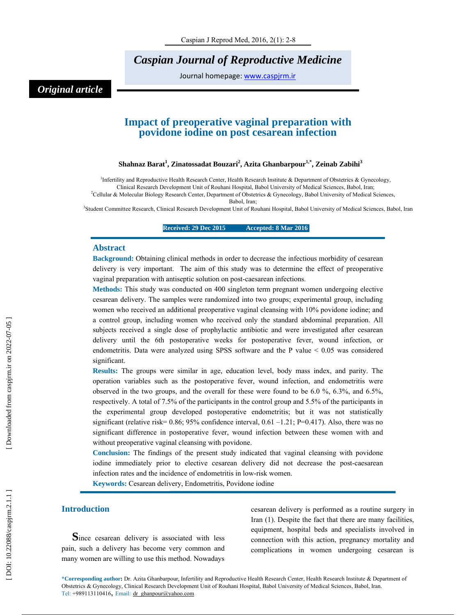*Caspian Journal of Reproductive Medicine* 

Journal homepage: www.caspjrm.ir

# *Original article*

# **Impact of preoperative vaginal preparation with povidone iodine on post cesarean infection**

# **Shahnaz Barat 1 , Zinatossadat Bouzari 2 , Azita Ghanbarpour1,\*, Zeinab Zabihi 3**

<sup>1</sup>Infertility and Reproductive Health Research Center, Health Research Institute & Department of Obstetrics & Gynecology, Clinical Research Development Unit of Rouhani Hospital, Babol University of Medical Sciences, Babol, Iran;

<sup>2</sup>Cellular & Molecular Biology Research Center, Department of Obstetrics & Gynecology, Babol University of Medical Sciences,

Babol, Iran;

3 Student Committee Research, Clinical Research Development Unit of Rouhani Hospital, Babol University of Medical Sciences, Babol, Iran

**Received: 29 Dec 2015 Accepted: 8 Mar 2016** 

#### **Abstract**

**Background:** Obtaining clinical methods in order to decrease the infectious morbidity of cesarean delivery is very important. The aim of this study was to determine the effect of preoperative vaginal preparation with antiseptic solution on post-caesarean infections.

**Methods:** This study was conducted on 400 singleton term pregnant women undergoing elective cesarean delivery. The samples were randomized into two groups; experimental group, including women who received an additional preoperative vaginal cleansing with 10% povidone iodine; and a control group, including women who received only the standard abdominal preparation. All subjects received a single dose of prophylactic antibiotic and were investigated after cesarean delivery until the 6th postoperative weeks for postoperative fever, wound infection, or endometritis. Data were analyzed using SPSS software and the P value < 0.05 was considered significant.

**Results:** The groups were similar in age, education level, body mass index, and parity. The operation variables such as the postoperative fever, wound infection, and endometritis were observed in the two groups, and the overall for these were found to be 6.0 %, 6.3%, and 6.5%, respectively. A total of 7.5% of the participants in the control group and 5.5% of the participants in the experimental group developed postoperative endometritis; but it was not statistically significant (relative risk=  $0.86$ ;  $95\%$  confidence interval,  $0.61 - 1.21$ ; P=0.417). Also, there was no significant difference in postoperative fever, wound infection between these women with and without preoperative vaginal cleansing with povidone.

**Conclusion:** The findings of the present study indicated that vaginal cleansing with povidone iodine immediately prior to elective cesarean delivery did not decrease the post-caesarean infection rates and the incidence of endometritis in low-risk women.

**Keywords:** Cesarean delivery, Endometritis, Povidone iodine

**Introduction**<br>**S**ince cesarean delivery is associated with less pain, such a delivery has become very common and many women are willing to use this method. Nowadays

cesarean delivery is performed as a routine surgery in Iran (1). Despite the fact that there are many facilities, equipment, hospital beds and specialists involved in connection with this action, pregnancy mortality and complications in women undergoing cesarean is

\***Corresponding author :** Dr. Azita Ghanbarpour , Infertility and Reproductive Health Research Center, Health Research Institute & Department of Obstetrics & Gynecology, Clinical Research Development Unit of Rouhani Hospital, Babol University of Medical Sciences, Babol, Iran. Tel: +989113110416, Email: dr\_ghanpour@yahoo.com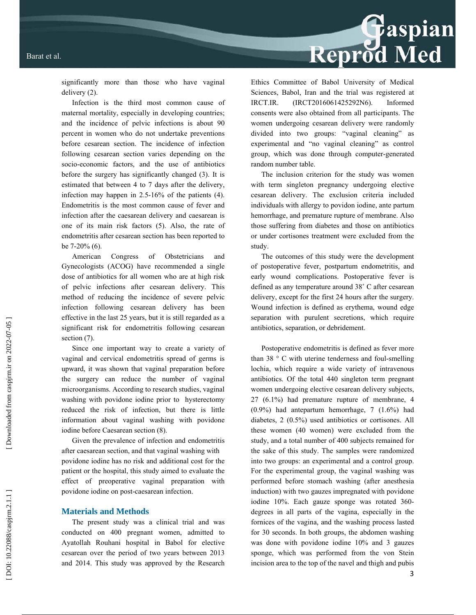# Reprod Med

significantly more than those who have vaginal delivery (2).

Infection is the third most common cause of maternal mortality, especially in developing countries; and the incidence of pelvic infections is about 90 percent in women who do not undertake preventions before cesarean section. The incidence of infection following cesarean section varies depending on the socio-economic factors, and the use of antibiotics before the surgery has significantly changed (3). It is estimated that between 4 to 7 days after the delivery, infection may happen in 2.5-16% of the patients (4). Endometritis is the most common cause of fever and infection after the caesarean delivery and caesarean is one of its main risk factors (5). Also, the rate of endometritis after cesarean section has been reported to be 7-20% (6).

American Congress of Obstetricians and Gynecologists (ACOG) have recommended a single dose of antibiotics for all women who are at high risk of pelvic infections after cesarean delivery. This method of reducing the incidence of severe pelvic infection following cesarean delivery has been effective in the last 25 years, but it is still regarded as a significant risk for endometritis following cesarean section  $(7)$ .

Since one important way to create a variety of vaginal and cervical endometritis spread of germs is upward, it was shown that vaginal preparation before the surgery can reduce the number of vaginal microorganisms. According to research studies, vaginal washing with povidone iodine prior to hysterectomy reduced the risk of infection, but there is little information about vaginal washing with povidone iodine before Caesarean section (8).

Given the prevalence of infection and endometritis after caesarean section, and that vaginal washing with povidone iodine has no risk and additional cost for the patient or the hospital, this study aimed to evaluate the effect of preoperative vaginal preparation with povidone iodine on post-caesarean infection.

## **Materials and Methods**

The present study was a clinical trial and was conducted on 400 pregnant women, admitted to Ayatollah Rouhani hospital in Babol for elective cesarean over the period of two years between 2013 and 2014. This study was approved by the Research Ethics Committee of Babol University of Medical Sciences, Babol, Iran and the trial was registered at IRCT.IR. (IRCT2016061425292N6). Informed consents were also obtained from all participants. The women undergoing cesarean delivery were randomly divided into two groups: "vaginal cleaning" as experimental and "no vaginal cleaning" as control group, which was done through computer-generated random number table.

The inclusion criterion for the study was women with term singleton pregnancy undergoing elective cesarean delivery. The exclusion criteria included individuals with allergy to povidon iodine, ante partum hemorrhage, and premature rupture of membrane. Also those suffering from diabetes and those on antibiotics or under cortisones treatment were excluded from the study.

The outcomes of this study were the development of postoperative fever, postpartum endometritis, and early wound complications. Postoperative fever is defined as any temperature around 38° C after cesarean delivery, except for the first 24 hours after the surgery. Wound infection is defined as erythema, wound edge separation with purulent secretions, which require antibiotics, separation, or debridement.

Postoperative endometritis is defined as fever more than 38 ° C with uterine tenderness and foul-smelling lochia, which require a wide variety of intravenous antibiotics. Of the total 440 singleton term pregnant women undergoing elective cesarean delivery subjects, 27 (6.1%) had premature rupture of membrane, 4 (0.9%) had antepartum hemorrhage, 7 (1.6%) had diabetes, 2 (0.5%) used antibiotics or cortisones. All these women (40 women) were excluded from the study, and a total number of 400 subjects remained for the sake of this study. The samples were randomized into two groups: an experimental and a control group. For the experimental group, the vaginal washing was performed before stomach washing (after anesthesia induction) with two gauzes impregnated with povidone iodine 10%. Each gauze sponge was rotated 360 degrees in all parts of the vagina, especially in the fornices of the vagina, and the washing process lasted for 30 seconds. In both groups, the abdomen washing was done with povidone iodine 10% and 3 gauzes sponge, which was performed from the von Stein incision area to the top of the navel and thigh and pubis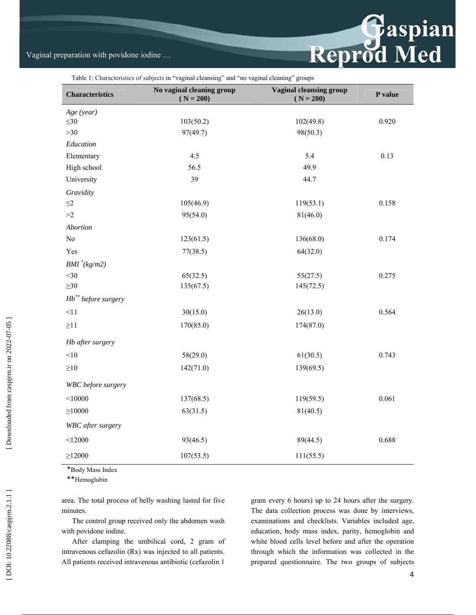# Vaginal preparation with povidone iodine …

| Table 1: Characteristics of subjects in "vaginal cleansing" and "no vaginal cleaning" groups |  |  |  |
|----------------------------------------------------------------------------------------------|--|--|--|
|----------------------------------------------------------------------------------------------|--|--|--|

| <b>Characteristics</b> | No vaginal cleaning group<br>$(N = 200)$ | <b>Vaginal cleansing group</b><br>$(N = 200)$ | P value |
|------------------------|------------------------------------------|-----------------------------------------------|---------|
| Age (year)             |                                          |                                               |         |
| $\leq 30$              | 103(50.2)                                | 102(49.8)                                     | 0.920   |
| $>30$                  | 97(49.7)                                 | 98(50.3)                                      |         |
| Education              |                                          |                                               |         |
| Elementary             | 4.5                                      | 5.4                                           | 0.13    |
| High school            | 56.5                                     | 49.9                                          |         |
| University             | 39                                       | 44.7                                          |         |
| Gravidity              |                                          |                                               |         |
| $\leq$ 2               | 105(46.9)                                | 119(53.1)                                     | 0.158   |
| >2                     | 95(54.0)                                 | 81(46.0)                                      |         |
| Abortion               |                                          |                                               |         |
| No                     | 123(61.5)                                | 136(68.0)                                     | 0.174   |
| Yes                    | 77(38.5)                                 | 64(32.0)                                      |         |
| $BMI^*(kg/m2)$         |                                          |                                               |         |
| $<$ 30                 | 65(32.5)                                 | 55(27.5)                                      | 0.275   |
| $\geq 30$              | 135(67.5)                                | 145(72.5)                                     |         |
| $Hb^*$ before surgery  |                                          |                                               |         |
| <11                    | 30(15.0)                                 | 26(13.0)                                      | 0.564   |
| $\geq$ 11              | 170(85.0)                                | 174(87.0)                                     |         |
| Hb after surgery       |                                          |                                               |         |
| < 10                   | 58(29.0)                                 | 61(30.5)                                      | 0.743   |
| $\geq 10$              | 142(71.0)                                | 139(69.5)                                     |         |
| WBC before surgery     |                                          |                                               |         |
| < 10000                | 137(68.5)                                | 119(59.5)                                     | 0.061   |
| $\geq 10000$           | 63(31.5)                                 | 81(40.5)                                      |         |
| WBC after surgery      |                                          |                                               |         |
| < 12000                | 93(46.5)                                 | 89(44.5)                                      | 0.688   |
| $\geq$ 12000           | 107(53.5)                                | 111(55.5)                                     |         |

\*Body Mass Index

\*\*Hemoglubin

area. The total process of belly washing lasted for five minutes.

The control group received only the abdomen wash with povidone iodine.

After clamping the umbilical cord, 2 gram of intravenous cefazolin (Rx) was injected to all patients. All patients received intravenous antibiotic (cefazolin 1

gram every 6 hours) up to 24 hours after the surgery. The data collection process was done by interviews, examinations and checklists. Variables included age, education, body mass index, parity, hemoglobin and white blood cells level before and after the operation through which the information was collected in the prepared questionnaire. The two groups of subjects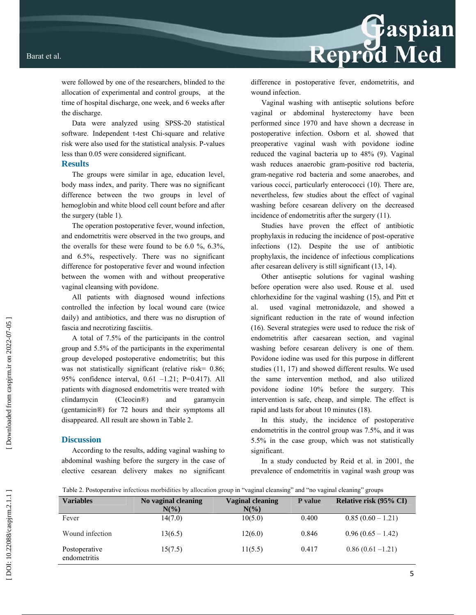were followed by one of the researchers, blinded to the allocation of experimental and control groups, at the time of hospital discharge, one week, and 6 weeks after the discharge.

Data were analyzed using SPSS-20 statistical software. Independent t-test Chi-square and relative risk were also used for the statistical analysis. P-values less than 0.05 were considered significant.

## **Results**

The groups were similar in age, education level, body mass index, and parity. There was no significant difference between the two groups in level of hemoglobin and white blood cell count before and after the surgery (table 1).

The operation postoperative fever, wound infection, and endometritis were observed in the two groups, and the overalls for these were found to be 6.0 %, 6.3%, and 6.5%, respectively. There was no significant difference for postoperative fever and wound infection between the women with and without preoperative vaginal cleansing with povidone.

All patients with diagnosed wound infections controlled the infection by local wound care (twice daily) and antibiotics, and there was no disruption of fascia and necrotizing fasciitis.

A total of 7.5% of the participants in the control group and 5.5% of the participants in the experimental group developed postoperative endometritis; but this was not statistically significant (relative risk=  $0.86$ ; 95% confidence interval, 0.61 –1.21; P=0.417). All patients with diagnosed endometritis were treated with clindamycin (Cleocin®) and garamycin (gentamicin®) for 72 hours and their symptoms all disappeared. All result are shown in Table 2.

# **Discussion**

According to the results, adding vaginal washing to abdominal washing before the surgery in the case of elective cesarean delivery makes no significant difference in postoperative fever, endometritis, and wound infection.

Reprod Med

Vaginal washing with antiseptic solutions before vaginal or abdominal hysterectomy have been performed since 1970 and have shown a decrease in postoperative infection. Osborn et al. showed that preoperative vaginal wash with povidone iodine reduced the vaginal bacteria up to 48% (9). Vaginal wash reduces anaerobic gram-positive rod bacteria, gram-negative rod bacteria and some anaerobes, and various cocci, particularly enterococci (10). There are, nevertheless, few studies about the effect of vaginal washing before cesarean delivery on the decreased incidence of endometritis after the surgery (11).

Studies have proven the effect of antibiotic prophylaxis in reducing the incidence of post-operative infections (12). Despite the use of antibiotic prophylaxis, the incidence of infectious complications after cesarean delivery is still significant (13, 14).

Other antiseptic solutions for vaginal washing before operation were also used. Rouse et al. used chlorhexidine for the vaginal washing (15), and Pitt et al. used vaginal metronidazole, and showed a significant reduction in the rate of wound infection (16). Several strategies were used to reduce the risk of endometritis after caesarean section, and vaginal washing before cesarean delivery is one of them. Povidone iodine was used for this purpose in different studies (11, 17) and showed different results. We used the same intervention method, and also utilized povidone iodine 10% before the surgery. This intervention is safe, cheap, and simple. The effect is rapid and lasts for about 10 minutes (18).

In this study, the incidence of postoperative endometritis in the control group was 7.5%, and it was 5.5% in the case group, which was not statistically significant.

In a study conducted by Reid et al. in 2001, the prevalence of endometritis in vaginal wash group was

Table 2. Postoperative infectious morbidities by allocation group in "vaginal cleansing" and "no vaginal cleaning" groups

| <b>Variables</b>              | No vaginal cleaning<br>$N(\%)$ | Vaginal cleaning<br>$N\left(\frac{9}{6}\right)$ | <b>P</b> value | Relative risk (95% CI) |
|-------------------------------|--------------------------------|-------------------------------------------------|----------------|------------------------|
| Fever                         | 14(7.0)                        | 10(5.0)                                         | 0.400          | $0.85(0.60 - 1.21)$    |
| Wound infection               | 13(6.5)                        | 12(6.0)                                         | 0.846          | $0.96(0.65 - 1.42)$    |
| Postoperative<br>endometritis | 15(7.5)                        | 11(5.5)                                         | 0.417          | $0.86(0.61 - 1.21)$    |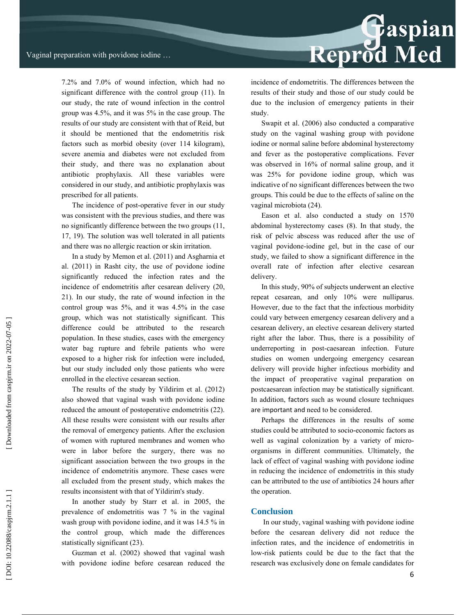Reprod Med

7.2% and 7.0% of wound infection, which had no significant difference with the control group (11). In our study, the rate of wound infection in the control group was 4.5%, and it was 5% in the case group. The results of our study are consistent with that of Reid, but it should be mentioned that the endometritis risk factors such as morbid obesity (over 114 kilogram), severe anemia and diabetes were not excluded from their study, and there was no explanation about antibiotic prophylaxis. All these variables were considered in our study, and antibiotic prophylaxis was prescribed for all patients.

The incidence of post-operative fever in our study was consistent with the previous studies, and there was no significantly difference between the two groups (11, 17, 19). The solution was well tolerated in all patients and there was no allergic reaction or skin irritation.

In a study by Memon et al. (2011) and Asgharnia et al. (2011) in Rasht city, the use of povidone iodine significantly reduced the infection rates and the incidence of endometritis after cesarean delivery (20, 21). In our study, the rate of wound infection in the control group was 5%, and it was 4.5% in the case group, which was not statistically significant. This difference could be attributed to the research population. In these studies, cases with the emergency water bag rupture and febrile patients who were exposed to a higher risk for infection were included, but our study included only those patients who were enrolled in the elective cesarean section.

The results of the study by Yildirim et al. (2012) also showed that vaginal wash with povidone iodine reduced the amount of postoperative endometritis (22). All these results were consistent with our results after the removal of emergency patients. After the exclusion of women with ruptured membranes and women who were in labor before the surgery, there was no significant association between the two groups in the incidence of endometritis anymore. These cases were all excluded from the present study, which makes the results inconsistent with that of Yildirim's study.

In another study by Starr et al. in 2005, the prevalence of endometritis was 7 % in the vaginal wash group with povidone iodine, and it was 14.5 % in the control group, which made the differences statistically significant (23).

Guzman et al. (2002) showed that vaginal wash with povidone iodine before cesarean reduced the incidence of endometritis. The differences between the results of their study and those of our study could be due to the inclusion of emergency patients in their study.

Swapit et al. (2006) also conducted a comparative study on the vaginal washing group with povidone iodine or normal saline before abdominal hysterectomy and fever as the postoperative complications. Fever was observed in 16% of normal saline group, and it was 25% for povidone iodine group, which was indicative of no significant differences between the two groups. This could be due to the effects of saline on the vaginal microbiota (24).

Eason et al. also conducted a study on 1570 abdominal hysterectomy cases (8). In that study, the risk of pelvic abscess was reduced after the use of vaginal povidone-iodine gel, but in the case of our study, we failed to show a significant difference in the overall rate of infection after elective cesarean delivery.

In this study, 90% of subjects underwent an elective repeat cesarean, and only 10% were nulliparus. However, due to the fact that the infectious morbidity could vary between emergency cesarean delivery and a cesarean delivery, an elective cesarean delivery started right after the labor. Thus, there is a possibility of underreporting in post-caesarean infection. Future studies on women undergoing emergency cesarean delivery will provide higher infectious morbidity and the impact of preoperative vaginal preparation on postcaesarean infection may be statistically signi ficant. In addition, factors such as wound closure techniques are important and need to be considered.

Perhaps the differences in the results of some studies could be attributed to socio-economic factors as well as vaginal colonization by a variety of microorganisms in different communities. Ultimately, the lack of effect of vaginal washing with povidone iodine in reducing the incidence of endometritis in this study can be attributed to the use of antibiotics 24 hours after the operation.

## **Conclusion**

 In our study, vaginal washing with povidone iodine before the cesarean delivery did not reduce the infection rates, and the incidence of endometritis in low-risk patients could be due to the fact that the research was exclusively done on female candidates for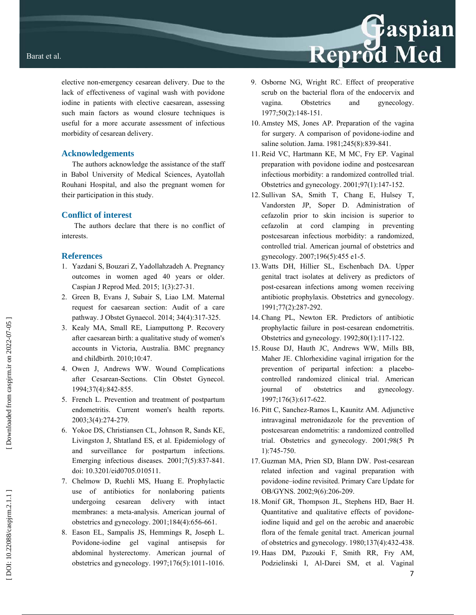elective non-emergency cesarean delivery. Due to the lack of effectiveness of vaginal wash with povidone iodine in patients with elective caesarean, assessing such main factors as wound closure techniques is useful for a more accurate assessment of infectious morbidity of cesarean delivery.

# **Acknowledgements**

The authors acknowledge the assistance of the staff in Babol University of Medical Sciences, Ayatollah Rouhani Hospital, and also the pregnant women for their participation in this study.

# **Conflict of interest**

 The authors declare that there is no conflict of interests.

# **References**

- 1. Yazdani S, Bouzari Z, Yadollahzadeh A. Pregnancy outcomes in women aged 40 years or older. Caspian J Reprod Med. 2015; 1(3):27-31.
- 2. Green B, Evans J, Subair S, Liao LM. Maternal request for caesarean section: Audit of a care pathway. J Obstet Gynaecol. 2014; 34(4):317-325.
- 3. Kealy MA, Small RE, Liamputtong P. Recovery after caesarean birth: a qualitative study of women's accounts in Victoria, Australia. BMC pregnancy and childbirth. 2010;10:47.
- 4. Owen J, Andrews WW. Wound Complications after Cesarean-Sections. Clin Obstet Gynecol. 1994;37(4):842-855.
- 5. French L. Prevention and treatment of postpartum endometritis. Current women's health reports. 2003;3(4):274-279.
- 6. Yokoe DS, Christiansen CL, Johnson R, Sands KE, Livingston J, Shtatland ES, et al. Epidemiology of and surveillance for postpartum infections. Emerging infectious diseases. 2001;7(5):837-841. doi: 10.3201/eid0705.010511.
- 7. Chelmow D, Ruehli MS, Huang E. Prophylactic use of antibiotics for nonlaboring patients undergoing cesarean delivery with intact membranes: a meta-analysis. American journal of obstetrics and gynecology. 2001;184(4):656-661.
- 8. Eason EL, Sampalis JS, Hemmings R, Joseph L. Povidone-iodine gel vaginal antisepsis for abdominal hysterectomy. American journal of obstetrics and gynecology. 1997;176(5):1011-1016.
- 9. Osborne NG, Wright RC. Effect of preoperative scrub on the bacterial flora of the endocervix and vagina. Obstetrics and gynecology. 1977;50(2):148-151.
- 10. Amstey MS, Jones AP. Preparation of the vagina for surgery. A comparison of povidone-iodine and saline solution. Jama. 1981;245(8):839-841.
- 11. Reid VC, Hartmann KE, M MC, Fry EP. Vaginal preparation with povidone iodine and postcesarean infectious morbidity: a randomized controlled trial. Obstetrics and gynecology. 2001;97(1):147-152.
- 12. Sullivan SA, Smith T, Chang E, Hulsey T, Vandorsten JP, Soper D. Administration of cefazolin prior to skin incision is superior to cefazolin at cord clamping in preventing postcesarean infectious morbidity: a randomized, controlled trial. American journal of obstetrics and gynecology. 2007;196(5):455 e1-5.
- 13. Watts DH, Hillier SL, Eschenbach DA. Upper genital tract isolates at delivery as predictors of post-cesarean infections among women receiving antibiotic prophylaxis. Obstetrics and gynecology. 1991;77(2):287-292.
- 14. Chang PL, Newton ER. Predictors of antibiotic prophylactic failure in post-cesarean endometritis. Obstetrics and gynecology. 1992;80(1):117-122.
- 15. Rouse DJ, Hauth JC, Andrews WW, Mills BB, Maher JE. Chlorhexidine vaginal irrigation for the prevention of peripartal infection: a placebocontrolled randomized clinical trial. American journal of obstetrics and gynecology. 1997;176(3):617-622.
- 16. Pitt C, Sanchez-Ramos L, Kaunitz AM. Adjunctive intravaginal metronidazole for the prevention of postcesarean endometritis: a randomized controlled trial. Obstetrics and gynecology. 2001;98(5 Pt 1):745-750.
- 17. Guzman MA, Prien SD, Blann DW. Post-cesarean related infection and vaginal preparation with povidone–iodine revisited. Primary Care Update for OB/GYNS. 2002;9(6):206-209.
- 18. Monif GR, Thompson JL, Stephens HD, Baer H. Quantitative and qualitative effects of povidoneiodine liquid and gel on the aerobic and anaerobic flora of the female genital tract. American journal of obstetrics and gynecology. 1980;137(4):432-438.
- 19. Haas DM, Pazouki F, Smith RR, Fry AM, Podzielinski I, Al-Darei SM, et al. Vaginal